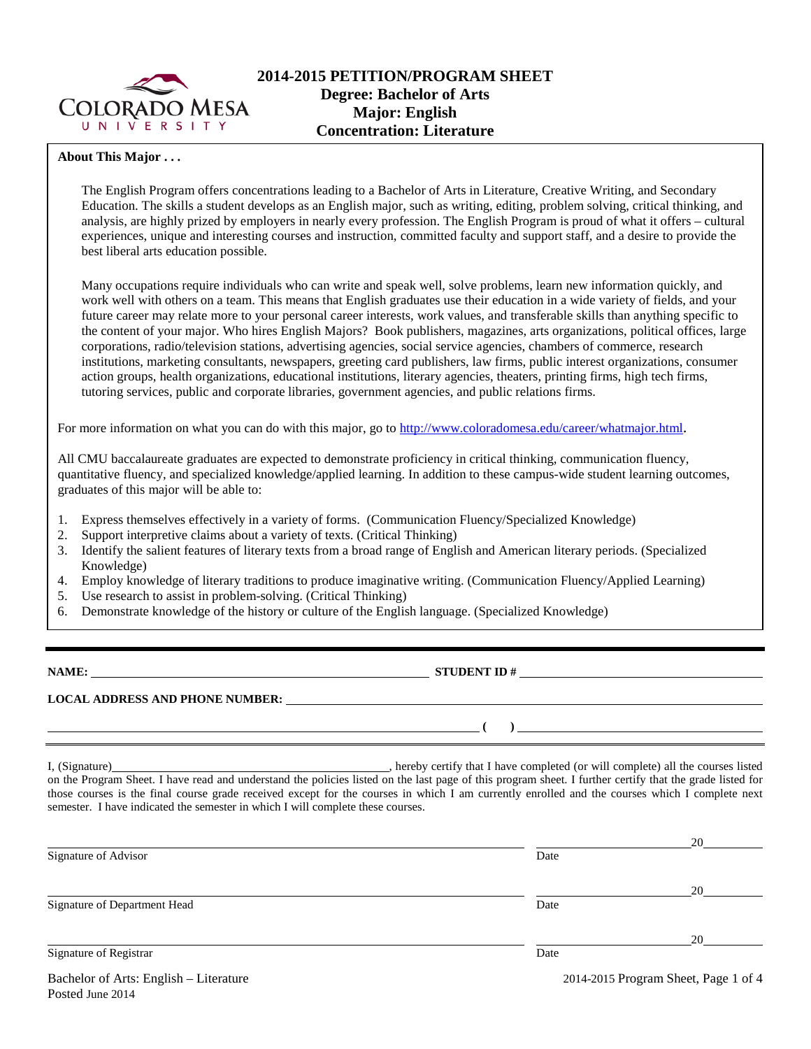

## **About This Major . . .**

The English Program offers concentrations leading to a Bachelor of Arts in Literature, Creative Writing, and Secondary Education. The skills a student develops as an English major, such as writing, editing, problem solving, critical thinking, and analysis, are highly prized by employers in nearly every profession. The English Program is proud of what it offers – cultural experiences, unique and interesting courses and instruction, committed faculty and support staff, and a desire to provide the best liberal arts education possible.

Many occupations require individuals who can write and speak well, solve problems, learn new information quickly, and work well with others on a team. This means that English graduates use their education in a wide variety of fields, and your future career may relate more to your personal career interests, work values, and transferable skills than anything specific to the content of your major. Who hires English Majors? Book publishers, magazines, arts organizations, political offices, large corporations, radio/television stations, advertising agencies, social service agencies, chambers of commerce, research institutions, marketing consultants, newspapers, greeting card publishers, law firms, public interest organizations, consumer action groups, health organizations, educational institutions, literary agencies, theaters, printing firms, high tech firms, tutoring services, public and corporate libraries, government agencies, and public relations firms.

For more information on what you can do with this major, go to [http://www.coloradomesa.edu/career/whatmajor.html.](http://www.coloradomesa.edu/career/whatmajor.html)

All CMU baccalaureate graduates are expected to demonstrate proficiency in critical thinking, communication fluency, quantitative fluency, and specialized knowledge/applied learning. In addition to these campus-wide student learning outcomes, graduates of this major will be able to:

- 1. Express themselves effectively in a variety of forms. (Communication Fluency/Specialized Knowledge)
- 2. Support interpretive claims about a variety of texts. (Critical Thinking)
- 3. Identify the salient features of literary texts from a broad range of English and American literary periods. (Specialized Knowledge)
- 4. Employ knowledge of literary traditions to produce imaginative writing. (Communication Fluency/Applied Learning)
- 5. Use research to assist in problem-solving. (Critical Thinking)
- 6. Demonstrate knowledge of the history or culture of the English language. (Specialized Knowledge)

**NAME: STUDENT ID #**

**LOCAL ADDRESS AND PHONE NUMBER:**

I, (Signature) , hereby certify that I have completed (or will complete) all the courses listed on the Program Sheet. I have read and understand the policies listed on the last page of this program sheet. I further certify that the grade listed for those courses is the final course grade received except for the courses in which I am currently enrolled and the courses which I complete next semester. I have indicated the semester in which I will complete these courses.

|                                        |                                      | 20 |  |
|----------------------------------------|--------------------------------------|----|--|
| Signature of Advisor                   | Date                                 |    |  |
|                                        |                                      | 20 |  |
| Signature of Department Head           | Date                                 |    |  |
|                                        |                                      | 20 |  |
| Signature of Registrar                 | Date                                 |    |  |
| Bachelor of Arts: English – Literature | 2014-2015 Program Sheet, Page 1 of 4 |    |  |

**( )**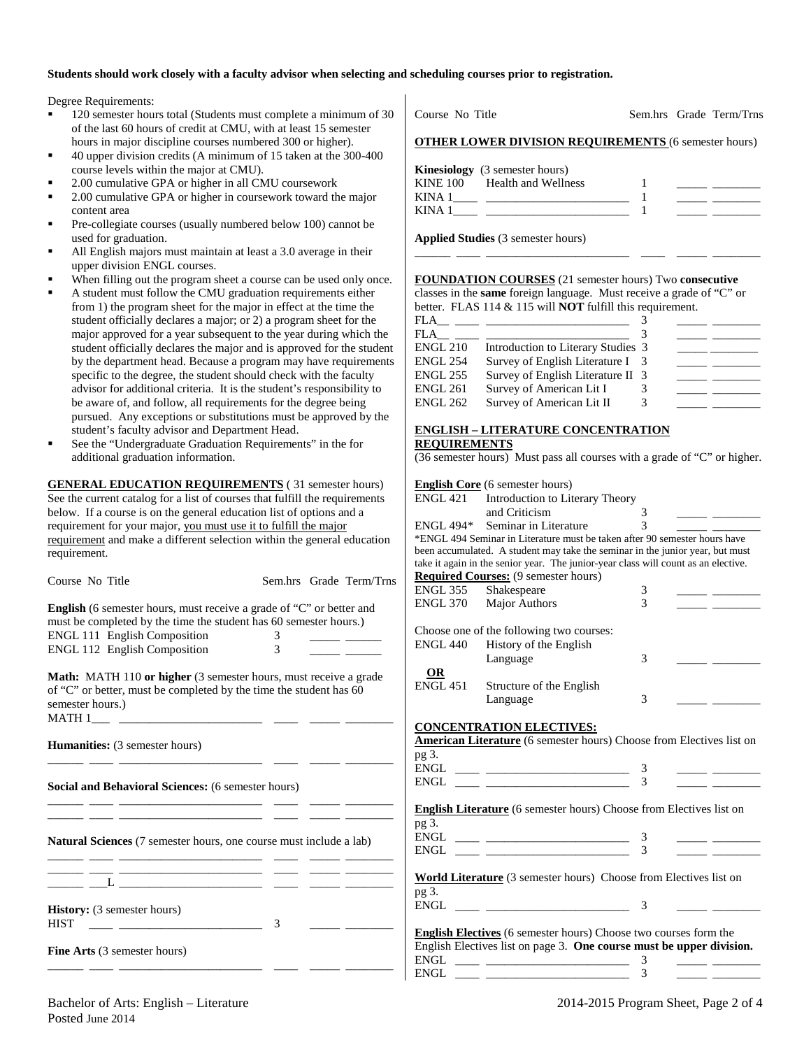## **Students should work closely with a faculty advisor when selecting and scheduling courses prior to registration.**

Degree Requirements:

- 120 semester hours total (Students must complete a minimum of 30 of the last 60 hours of credit at CMU, with at least 15 semester hours in major discipline courses numbered 300 or higher).
- 40 upper division credits (A minimum of 15 taken at the 300-400 course levels within the major at CMU).
- 2.00 cumulative GPA or higher in all CMU coursework
- 2.00 cumulative GPA or higher in coursework toward the major content area
- Pre-collegiate courses (usually numbered below 100) cannot be used for graduation.
- All English majors must maintain at least a 3.0 average in their upper division ENGL courses.
- When filling out the program sheet a course can be used only once.
- A student must follow the CMU graduation requirements either from 1) the program sheet for the major in effect at the time the student officially declares a major; or 2) a program sheet for the major approved for a year subsequent to the year during which the student officially declares the major and is approved for the student by the department head. Because a program may have requirements specific to the degree, the student should check with the faculty advisor for additional criteria. It is the student's responsibility to be aware of, and follow, all requirements for the degree being pursued. Any exceptions or substitutions must be approved by the student's faculty advisor and Department Head.
- See the "Undergraduate Graduation Requirements" in the for additional graduation information.

**GENERAL EDUCATION REQUIREMENTS** ( 31 semester hours) See the current catalog for a list of courses that fulfill the requirements below. If a course is on the general education list of options and a requirement for your major, you must use it to fulfill the major requirement and make a different selection within the general education requirement.

|                                                                                                                       |                                                                                                                       |                 | take it again in the senior year. The junior-year class will count as an elective.                                                                                                                                                                                                                                                                                                                                                                                                                |   |  |
|-----------------------------------------------------------------------------------------------------------------------|-----------------------------------------------------------------------------------------------------------------------|-----------------|---------------------------------------------------------------------------------------------------------------------------------------------------------------------------------------------------------------------------------------------------------------------------------------------------------------------------------------------------------------------------------------------------------------------------------------------------------------------------------------------------|---|--|
| Course No Title                                                                                                       | Sem.hrs Grade Term/Trns                                                                                               |                 | <b>Required Courses:</b> (9 semester hours)                                                                                                                                                                                                                                                                                                                                                                                                                                                       |   |  |
|                                                                                                                       |                                                                                                                       | ENGL 355        | Shakespeare                                                                                                                                                                                                                                                                                                                                                                                                                                                                                       | 3 |  |
| <b>English</b> (6 semester hours, must receive a grade of "C" or better and                                           |                                                                                                                       | <b>ENGL 370</b> | Major Authors                                                                                                                                                                                                                                                                                                                                                                                                                                                                                     | 3 |  |
| must be completed by the time the student has 60 semester hours.)                                                     |                                                                                                                       |                 |                                                                                                                                                                                                                                                                                                                                                                                                                                                                                                   |   |  |
|                                                                                                                       |                                                                                                                       |                 | Choose one of the following two courses:                                                                                                                                                                                                                                                                                                                                                                                                                                                          |   |  |
| <b>ENGL 111 English Composition</b>                                                                                   | $3^{\circ}$<br>3                                                                                                      | <b>ENGL 440</b> | History of the English                                                                                                                                                                                                                                                                                                                                                                                                                                                                            |   |  |
| <b>ENGL 112 English Composition</b>                                                                                   |                                                                                                                       |                 | Language                                                                                                                                                                                                                                                                                                                                                                                                                                                                                          | 3 |  |
|                                                                                                                       |                                                                                                                       | $\Omega$ R      |                                                                                                                                                                                                                                                                                                                                                                                                                                                                                                   |   |  |
| <b>Math:</b> MATH 110 or higher (3 semester hours, must receive a grade                                               |                                                                                                                       | <b>ENGL 451</b> | Structure of the English                                                                                                                                                                                                                                                                                                                                                                                                                                                                          |   |  |
| of "C" or better, must be completed by the time the student has 60                                                    |                                                                                                                       |                 | Language                                                                                                                                                                                                                                                                                                                                                                                                                                                                                          | 3 |  |
| semester hours.)                                                                                                      |                                                                                                                       |                 |                                                                                                                                                                                                                                                                                                                                                                                                                                                                                                   |   |  |
|                                                                                                                       |                                                                                                                       |                 | <b>CONCENTRATION ELECTIVES:</b>                                                                                                                                                                                                                                                                                                                                                                                                                                                                   |   |  |
|                                                                                                                       |                                                                                                                       |                 | American Literature (6 semester hours) Choose from Electives list on                                                                                                                                                                                                                                                                                                                                                                                                                              |   |  |
| <b>Humanities:</b> (3 semester hours)                                                                                 |                                                                                                                       | pg 3.           |                                                                                                                                                                                                                                                                                                                                                                                                                                                                                                   |   |  |
| <u> 1999 - Jan James James James James James James James James James James James James James James James James Ja</u> |                                                                                                                       |                 |                                                                                                                                                                                                                                                                                                                                                                                                                                                                                                   |   |  |
|                                                                                                                       |                                                                                                                       |                 |                                                                                                                                                                                                                                                                                                                                                                                                                                                                                                   |   |  |
| Social and Behavioral Sciences: (6 semester hours)                                                                    |                                                                                                                       |                 |                                                                                                                                                                                                                                                                                                                                                                                                                                                                                                   |   |  |
| the control of the control of the control of the control of the control of the control of                             |                                                                                                                       |                 | <b>English Literature</b> (6 semester hours) Choose from Electives list on                                                                                                                                                                                                                                                                                                                                                                                                                        |   |  |
|                                                                                                                       | <u> 1999 - Jan James James James James James James James James James James James James James James James James Ja</u> | pg 3.           |                                                                                                                                                                                                                                                                                                                                                                                                                                                                                                   |   |  |
|                                                                                                                       |                                                                                                                       |                 |                                                                                                                                                                                                                                                                                                                                                                                                                                                                                                   |   |  |
| <b>Natural Sciences</b> (7 semester hours, one course must include a lab)                                             |                                                                                                                       |                 | $ENGL \begin{tabular}{ll} \multicolumn{3}{c} {\textbf{ENGL}} & \multicolumn{3}{c} {\textbf{MHS}} \\ \multicolumn{3}{c} {\textbf{INGL}} & \multicolumn{3}{c} {\textbf{MHS}} \\ \multicolumn{3}{c} {\textbf{NHS}} & \multicolumn{3}{c} {\textbf{MHS}} \\ \multicolumn{3}{c} {\textbf{NHS}} & \multicolumn{3}{c} {\textbf{MHS}} \\ \multicolumn{3}{c} {\textbf{NHS}} & \multicolumn{3}{c} {\textbf{MHS}} \\ \multicolumn{3}{c} {\textbf{NHS}} & \multicolumn{3}{c} {\textbf{MHS}} \\ \multicolumn{3$ |   |  |
|                                                                                                                       |                                                                                                                       |                 |                                                                                                                                                                                                                                                                                                                                                                                                                                                                                                   |   |  |
|                                                                                                                       | <u> 1988 - Johann John Stone, mensk politik (d. 1988)</u>                                                             |                 |                                                                                                                                                                                                                                                                                                                                                                                                                                                                                                   |   |  |
|                                                                                                                       |                                                                                                                       |                 | World Literature (3 semester hours) Choose from Electives list on                                                                                                                                                                                                                                                                                                                                                                                                                                 |   |  |
|                                                                                                                       |                                                                                                                       | pg 3.           |                                                                                                                                                                                                                                                                                                                                                                                                                                                                                                   |   |  |
| History: (3 semester hours)                                                                                           |                                                                                                                       |                 |                                                                                                                                                                                                                                                                                                                                                                                                                                                                                                   |   |  |
| $\sim$ 3<br><b>HIST</b>                                                                                               |                                                                                                                       |                 |                                                                                                                                                                                                                                                                                                                                                                                                                                                                                                   |   |  |
|                                                                                                                       |                                                                                                                       |                 | <b>English Electives</b> (6 semester hours) Choose two courses form the                                                                                                                                                                                                                                                                                                                                                                                                                           |   |  |
| Fine Arts (3 semester hours)                                                                                          |                                                                                                                       |                 | English Electives list on page 3. One course must be upper division.                                                                                                                                                                                                                                                                                                                                                                                                                              |   |  |
|                                                                                                                       |                                                                                                                       |                 | $ENGL \begin{tabular}{ll} \multicolumn{3}{c} {\textbf{ENGL}} \end{tabular} \begin{tabular}{ll} \multicolumn{3}{c} {\textbf{ENGL}} \end{tabular}$                                                                                                                                                                                                                                                                                                                                                  | 3 |  |
|                                                                                                                       |                                                                                                                       | ENGL            |                                                                                                                                                                                                                                                                                                                                                                                                                                                                                                   |   |  |

Course No Title Sem.hrs Grade Term/Trns **OTHER LOWER DIVISION REQUIREMENTS** (6 semester hours)

|          | <b>Kinesiology</b> (3 semester hours) |  |  |
|----------|---------------------------------------|--|--|
| KINE 100 | Health and Wellness                   |  |  |
| KINA 1   |                                       |  |  |
| KINA 1   |                                       |  |  |

\_\_\_\_\_\_ \_\_\_\_ \_\_\_\_\_\_\_\_\_\_\_\_\_\_\_\_\_\_\_\_\_\_\_\_ \_\_\_\_ \_\_\_\_\_ \_\_\_\_\_\_\_\_

**Applied Studies** (3 semester hours)

## **FOUNDATION COURSES** (21 semester hours) Two **consecutive**

classes in the **same** foreign language. Must receive a grade of "C" or better. FLAS 114 & 115 will **NOT** fulfill this requirement.

| <b>FLA</b>      |                                    |  |  |
|-----------------|------------------------------------|--|--|
| FLA             |                                    |  |  |
| <b>ENGL 210</b> | Introduction to Literary Studies 3 |  |  |
| <b>ENGL 254</b> | Survey of English Literature I 3   |  |  |
| <b>ENGL 255</b> | Survey of English Literature II 3  |  |  |
| <b>ENGL 261</b> | Survey of American Lit I           |  |  |
| <b>ENGL 262</b> | Survey of American Lit II          |  |  |

# **ENGLISH – LITERATURE CONCENTRATION**

ENGL 421 Introduction to Literary Theory

## **REQUIREMENTS**

**English Core** (6 semester hours)

ENGL  $494*$  Seminar in Literature

(36 semester hours) Must pass all courses with a grade of "C" or higher.

and Criticism 3<br>Seminar in Literature 3

\*ENGL 494 Seminar in Literature must be taken after 90 semester hours have been accumulated. A student may take the seminar in the junior year, but must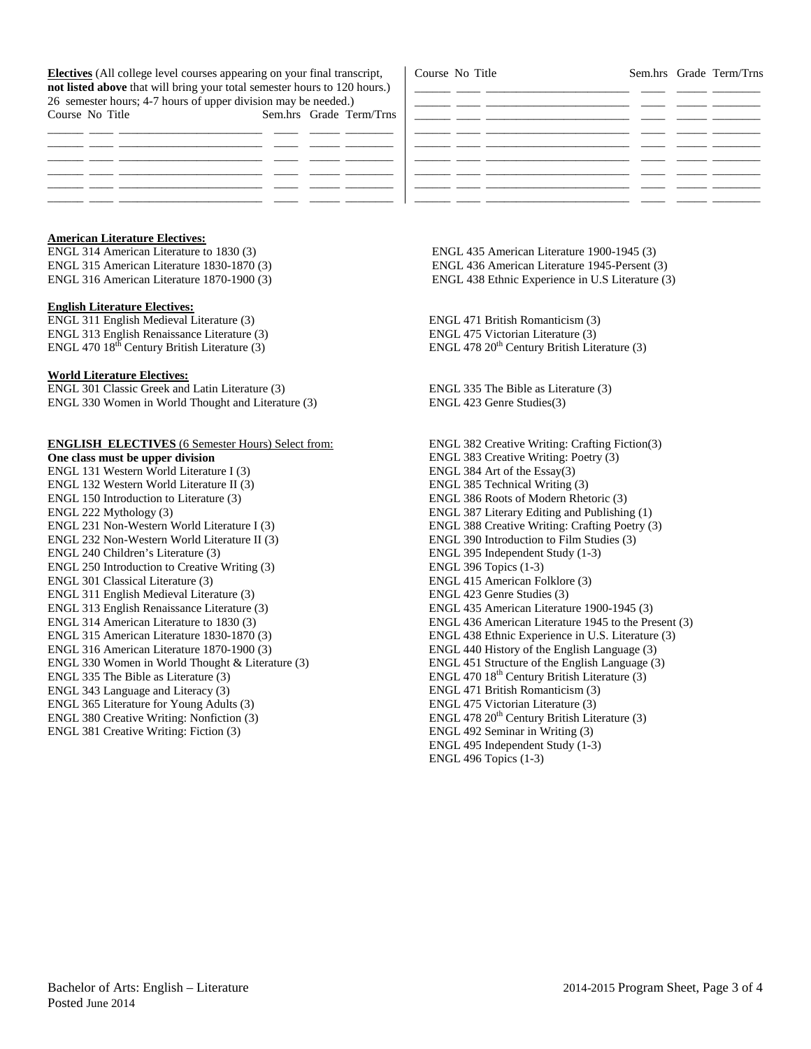**Electives** (All college level courses appearing on your final transcript, **not listed above** that will bring your total semester hours to 120 hours.) 26 semester hours; 4-7 hours of upper division may be needed.) Course No Title Sem.hrs Grade Term/Trns

| Course No Title |  |                                                                                                                                                                                                                                      | Sem.hrs Grade Term/Trns |
|-----------------|--|--------------------------------------------------------------------------------------------------------------------------------------------------------------------------------------------------------------------------------------|-------------------------|
|                 |  |                                                                                                                                                                                                                                      |                         |
|                 |  | <u> De Santa Companhia de Santa Companhia de Santa Companhia de Santa Companhia de Santa Companhia de Santa Companhia de Santa Companhia de Santa Companhia de Santa Companhia de Santa Companhia de Santa Companhia de Santa Co</u> |                         |
|                 |  |                                                                                                                                                                                                                                      |                         |
|                 |  |                                                                                                                                                                                                                                      |                         |
|                 |  |                                                                                                                                                                                                                                      |                         |
|                 |  |                                                                                                                                                                                                                                      |                         |
|                 |  |                                                                                                                                                                                                                                      |                         |
|                 |  |                                                                                                                                                                                                                                      |                         |

## **American Literature Electives:**

ENGL 314 American Literature to 1830 (3) ENGL 315 American Literature 1830-1870 (3) ENGL 316 American Literature 1870-1900 (3)

### **English Literature Electives:**

ENGL 311 English Medieval Literature (3) ENGL 313 English Renaissance Literature (3) ENGL 470  $18<sup>th</sup>$  Century British Literature (3)

#### **World Literature Electives:**

ENGL 301 Classic Greek and Latin Literature (3) ENGL 330 Women in World Thought and Literature (3)

## **ENGLISH ELECTIVES** (6 Semester Hours) Select from:

**One class must be upper division** ENGL 131 Western World Literature I (3) ENGL 132 Western World Literature II (3) ENGL 150 Introduction to Literature (3) ENGL 222 Mythology (3) ENGL 231 Non-Western World Literature I (3) ENGL 232 Non-Western World Literature II (3) ENGL 240 Children's Literature (3) ENGL 250 Introduction to Creative Writing (3) ENGL 301 Classical Literature (3) ENGL 311 English Medieval Literature (3) ENGL 313 English Renaissance Literature (3) ENGL 314 American Literature to 1830 (3) ENGL 315 American Literature 1830-1870 (3) ENGL 316 American Literature 1870-1900 (3) ENGL 330 Women in World Thought & Literature (3) ENGL 335 The Bible as Literature (3) ENGL 343 Language and Literacy (3) ENGL 365 Literature for Young Adults (3) ENGL 380 Creative Writing: Nonfiction (3) ENGL 381 Creative Writing: Fiction (3)

ENGL 435 American Literature 1900-1945 (3) ENGL 436 American Literature 1945-Persent (3) ENGL 438 Ethnic Experience in U.S Literature (3)

ENGL 471 British Romanticism (3) ENGL 475 Victorian Literature (3) ENGL 478 20<sup>th</sup> Century British Literature (3)

ENGL 335 The Bible as Literature (3) ENGL 423 Genre Studies(3)

ENGL 382 Creative Writing: Crafting Fiction(3) ENGL 383 Creative Writing: Poetry (3) ENGL 384 Art of the Essay(3) ENGL 385 Technical Writing (3) ENGL 386 Roots of Modern Rhetoric (3) ENGL 387 Literary Editing and Publishing (1) ENGL 388 Creative Writing: Crafting Poetry (3) ENGL 390 Introduction to Film Studies (3) ENGL 395 Independent Study (1-3) ENGL 396 Topics (1-3) ENGL 415 American Folklore (3) ENGL 423 Genre Studies (3) ENGL 435 American Literature 1900-1945 (3) ENGL 436 American Literature 1945 to the Present (3) ENGL 438 Ethnic Experience in U.S. Literature (3) ENGL 440 History of the English Language (3) ENGL 451 Structure of the English Language (3) ENGL 470  $18<sup>th</sup>$  Century British Literature (3) ENGL 471 British Romanticism (3) ENGL 475 Victorian Literature (3) ENGL 478 20<sup>th</sup> Century British Literature (3) ENGL 492 Seminar in Writing (3) ENGL 495 Independent Study (1-3) ENGL 496 Topics (1-3)